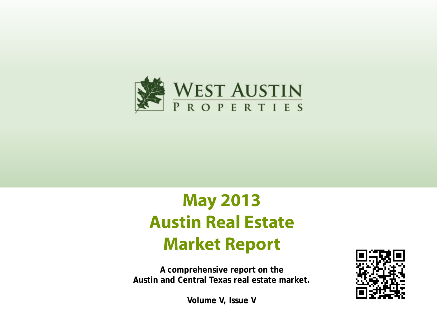

# **May 2013 Austin Real Estate Market Report**

**A comprehensive report on the Austin and Central Texas real estate market.**



**Volume V, Issue V**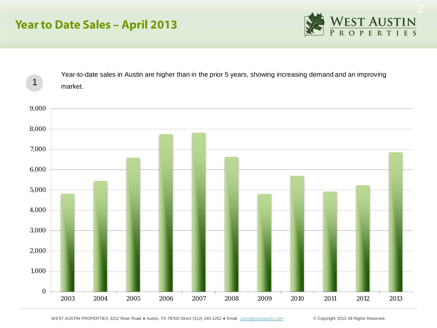## **Year to Date Sales – April 2013**





WEST AUSTIN PROPERTIES 3312 River Road · Austin, TX 78703 Direct (512) 345-1252 · Email [Laura@westaustin.com](mailto:Laura@westaustin.com) © Copyright 2013 All Rights Reserved.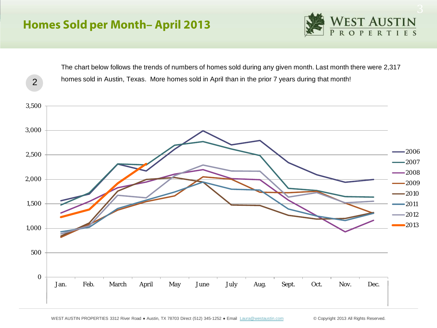2



The chart below follows the trends of numbers of homes sold during any given month. Last month there were 2,317 homes sold in Austin, Texas. More homes sold in April than in the prior 7 years during that month!

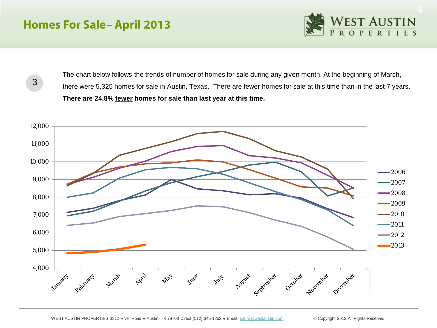## **Homes For Sale– April 2013**



3

The chart below follows the trends of number of homes for sale during any given month. At the beginning of March, there were 5,325 homes for sale in Austin, Texas. There are fewer homes for sale at this time than in the last 7 years. **There are 24.8% fewer homes for sale than last year at this time.** 

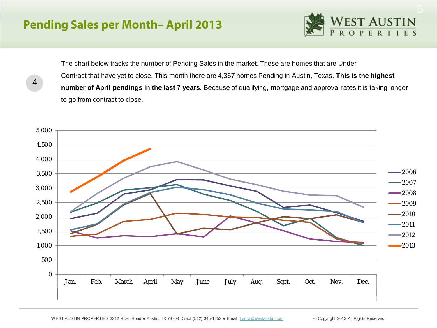## **Pending Sales per Month– April 2013**

4



The chart below tracks the number of Pending Sales in the market. These are homes that are Under Contract that have yet to close. This month there are 4,367 homes Pending in Austin, Texas. **This is the highest number of April pendings in the last 7 years.** Because of qualifying, mortgage and approval rates it is taking longer to go from contract to close.

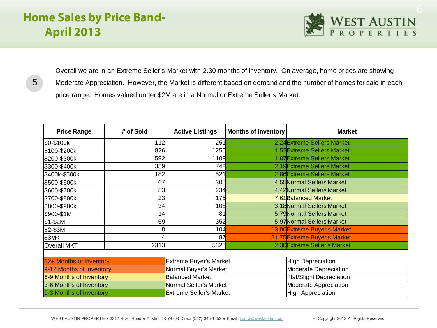# **Home Sales by Price Band-April 2013**



5

Overall we are in an Extreme Seller's Market with 2.30 months of inventory. On average, home prices are showing Moderate Appreciation. However, the Market is different based on demand and the number of homes for sale in each price range. Homes valued under \$2M are in a Normal or Extreme Seller's Market.

| <b>Price Range</b>       | # of Sold | <b>Active Listings</b>         | <b>Months of Inventory</b> | <b>Market</b>                   |  |
|--------------------------|-----------|--------------------------------|----------------------------|---------------------------------|--|
| \$0-\$100k               | 112       | 251                            |                            | 2.24 Extreme Sellers Market     |  |
| \$100-\$200k             | 826       | 1256                           |                            | 1.52 Extreme Sellers Market     |  |
| \$200-\$300k             | 592       | 1109                           |                            | 1.87 Extreme Sellers Market     |  |
| \$300-\$400k             | 339       | 742                            |                            | 2.19 Extreme Sellers Market     |  |
| \$400k-\$500k            | 182       | 521                            |                            | 2.86 Extreme Sellers Market     |  |
| \$500-\$600k             | 67        | 305                            |                            | 4.55 Normal Sellers Market      |  |
| \$600-\$700k             | 53        | 234                            |                            | 4.42 Normal Sellers Market      |  |
| \$700-\$800k             | 23        | 175                            |                            | 7.61 Balanced Market            |  |
| \$800-\$900k             | 34        | 108                            |                            | 3.18 Normal Sellers Market      |  |
| \$900-\$1M               | 14        | 81                             |                            | 5.79 Normal Sellers Market      |  |
| $$1-$2M$                 | 59        | 352                            |                            | 5.97 Normal Sellers Market      |  |
| \$2-\$3M                 |           | 104                            |                            | 13.00 Extreme Buyer's Market    |  |
| \$3M <sub>5</sub>        |           | 87                             |                            | 21.75 Extreme Buyer's Market    |  |
| <b>Overall MKT</b>       | 2313      | 5325                           |                            | 2.30 Extreme Seller's Market    |  |
|                          |           |                                |                            |                                 |  |
| 12+ Months of Inventory  |           | <b>Extreme Buyer's Market</b>  |                            | High Depreciation               |  |
| 9-12 Months of Inventory |           | Normal Buyer's Market          |                            | Moderate Depreciation           |  |
| 6-9 Months of Inventory  |           | <b>Balanced Market</b>         |                            | <b>Flat/Slight Depreciation</b> |  |
| 3-6 Months of Inventory  |           | Normal Seller's Market         |                            | Moderate Appreciation           |  |
| 0-3 Months of Inventory  |           | <b>Extreme Seller's Market</b> |                            | High Appreciation               |  |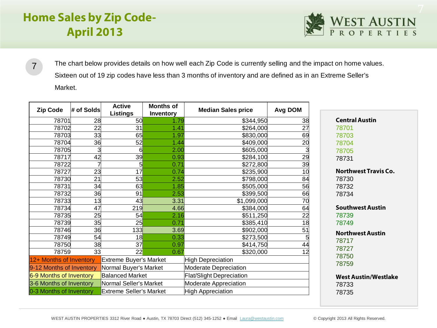# **Home Sales by Zip Code-April 2013**



The chart below provides details on how well each Zip Code is currently selling and the impact on home values. Sixteen out of 19 zip codes have less than 3 months of inventory and are defined as in an Extreme Seller's Market. 

| <b>Zip Code</b>          | # of Solds | <b>Active</b><br><b>Listings</b> | <b>Months of</b><br>Inventory |      | <b>Median Sales price</b>       | <b>Avg DOM</b> |  |
|--------------------------|------------|----------------------------------|-------------------------------|------|---------------------------------|----------------|--|
| 78701                    | 28         | <b>50</b>                        |                               | 1.79 | \$344,950                       | 38             |  |
| 78702                    | 22         | 31                               |                               | 1.41 | \$264,000                       | 27             |  |
| 78703                    | 33         | 65                               |                               | 1.97 | \$830,000                       | 69             |  |
| 78704                    | 36         | 52                               |                               | 1.44 | \$409,000                       | 20             |  |
| 78705                    | 3          | 6                                |                               | 2.00 | \$605,000                       | 3              |  |
| 78717                    | 42         | 39                               |                               | 0.93 | \$284,100                       | 29             |  |
| 78722                    |            | 5                                |                               | 0.71 | \$272,800                       | 39             |  |
| 78727                    | 23         | 17                               |                               | 0.74 | \$235,900                       | 10             |  |
| 78730                    | 21         | 53                               |                               | 2.52 | \$798,000                       | 84             |  |
| 78731                    | 34         | 63                               |                               | 1.85 | \$505,000                       | 56             |  |
| 78732                    | 36         | 91                               |                               | 2.53 | \$399,500                       | 66             |  |
| 78733                    | 13         | 43                               |                               | 3.31 | \$1,099,000                     | 70             |  |
| 78734                    | 47         | 219                              |                               | 4.66 | \$384,000                       | 64             |  |
| 78735                    | 25         | 54                               |                               | 2.16 | \$511,250                       | 22             |  |
| 78739                    | 35         | 25                               |                               | 0.71 | \$385,410                       | 18             |  |
| 78746                    | 36         | 133                              |                               | 3.69 | \$902,000                       | 51             |  |
| 78749                    | 54         | 18                               |                               | 0.33 | \$273,500                       | 5              |  |
| 78750                    | 38         | 37                               |                               | 0.97 | \$414,750                       | 44             |  |
| 78759                    | 33         | 22                               |                               | 0.67 | \$320,000                       | 12             |  |
| 12+ Months of Inventory  |            | <b>Extreme Buyer's Market</b>    |                               |      | <b>High Depreciation</b>        |                |  |
| 9-12 Months of Inventory |            | Normal Buyer's Market            |                               |      | Moderate Depreciation           |                |  |
| 6-9 Months of Inventory  |            | <b>Balanced Market</b>           |                               |      | <b>Flat/Slight Depreciation</b> |                |  |
| 3-6 Months of Inventory  |            | Normal Seller's Market           |                               |      | Moderate Appreciation           |                |  |
| 0-3 Months of Inventory  |            | <b>Extreme Seller's Market</b>   |                               |      | <b>High Appreciation</b>        |                |  |

**Central Austin Northwest Travis Co.**

 

**Southwest Austin** 

**Northwest Austin** 

**West Austin/Westlake**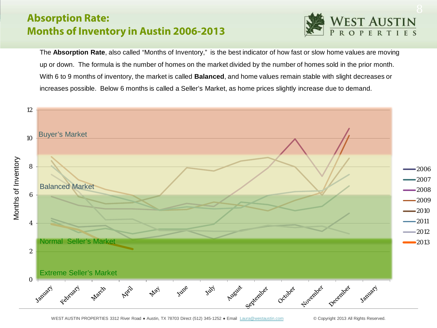### **Absorption Rate: Months of Inventory in Austin 2006-2013**



The **Absorption Rate**, also called "Months of Inventory," is the best indicator of how fast or slow home values are moving up or down. The formula is the number of homes on the market divided by the number of homes sold in the prior month. With 6 to 9 months of inventory, the market is called **Balanced**, and home values remain stable with slight decreases or increases possible. Below 6 months is called a Seller's Market, as home prices slightly increase due to demand.

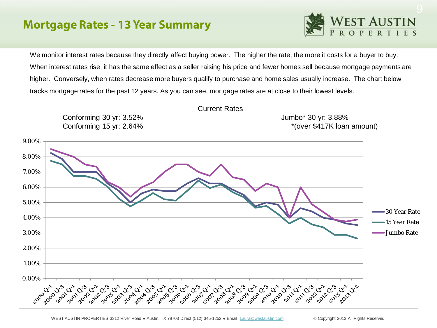### **Mortgage Rates - 13 Year Summary**



We monitor interest rates because they directly affect buying power. The higher the rate, the more it costs for a buyer to buy. When interest rates rise, it has the same effect as a seller raising his price and fewer homes sell because mortgage payments are higher. Conversely, when rates decrease more buyers qualify to purchase and home sales usually increase. The chart below tracks mortgage rates for the past 12 years. As you can see, mortgage rates are at close to their lowest levels.

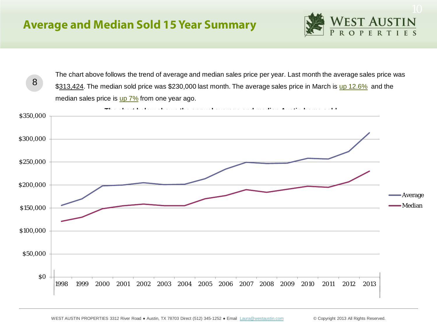

The chart above follows the trend of average and median sales price per year. Last month the average sales price was \$313,424. The median sold price was \$230,000 last month. The average sales price in March is up 12.6% and the median sales price is  $\mu$   $7\%$  from one year ago. 8

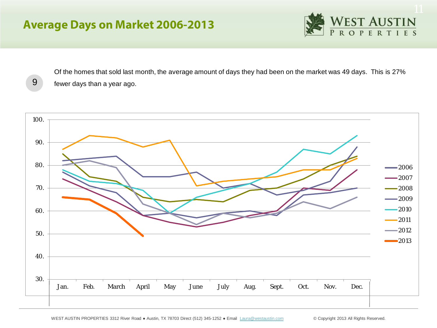## **Average Days on Market 2006-2013**

9



Of the homes that sold last month, the average amount of days they had been on the market was 49 days. This is 27% fewer days than a year ago.